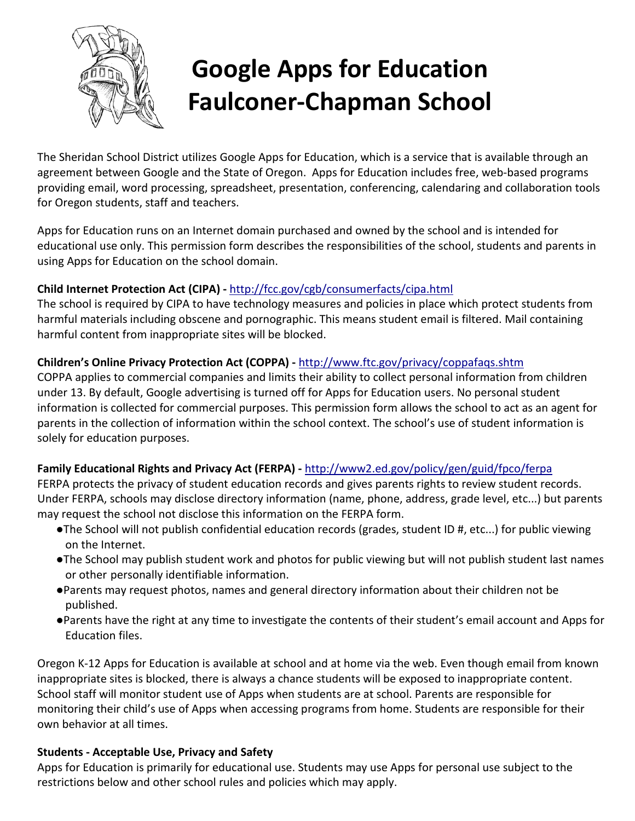

# **Google Apps for Education Faulconer-Chapman School**

The Sheridan School District utilizes Google Apps for Education, which is a service that is available through an agreement between Google and the State of Oregon. Apps for Education includes free, web-based programs providing email, word processing, spreadsheet, presentation, conferencing, calendaring and collaboration tools for Oregon students, staff and teachers.

Apps for Education runs on an Internet domain purchased and owned by the school and is intended for educational use only. This permission form describes the responsibilities of the school, students and parents in using Apps for Education on the school domain.

## **Child Internet Protection Act (CIPA) -** http://fcc.gov/cgb/consumerfacts/cipa.html

The school is required by CIPA to have technology measures and policies in place which protect students from harmful materials including obscene and pornographic. This means student email is filtered. Mail containing harmful content from inappropriate sites will be blocked.

## **Children's Online Privacy Protection Act (COPPA) -** http://www.ftc.gov/privacy/coppafaqs.shtm

COPPA applies to commercial companies and limits their ability to collect personal information from children under 13. By default, Google advertising is turned off for Apps for Education users. No personal student information is collected for commercial purposes. This permission form allows the school to act as an agent for parents in the collection of information within the school context. The school's use of student information is solely for education purposes.

### **Family Educational Rights and Privacy Act (FERPA) -** http://www2.ed.gov/policy/gen/guid/fpco/ferpa

FERPA protects the privacy of student education records and gives parents rights to review student records. Under FERPA, schools may disclose directory information (name, phone, address, grade level, etc...) but parents may request the school not disclose this information on the FERPA form.

- ●The School will not publish confidential education records (grades, student ID #, etc...) for public viewing on the Internet.
- ●The School may publish student work and photos for public viewing but will not publish student last names or other personally identifiable information.
- Parents may request photos, names and general directory information about their children not be published.
- Parents have the right at any time to investigate the contents of their student's email account and Apps for Education files.

Oregon K-12 Apps for Education is available at school and at home via the web. Even though email from known inappropriate sites is blocked, there is always a chance students will be exposed to inappropriate content. School staff will monitor student use of Apps when students are at school. Parents are responsible for monitoring their child's use of Apps when accessing programs from home. Students are responsible for their own behavior at all times.

### **Students - Acceptable Use, Privacy and Safety**

Apps for Education is primarily for educational use. Students may use Apps for personal use subject to the restrictions below and other school rules and policies which may apply.